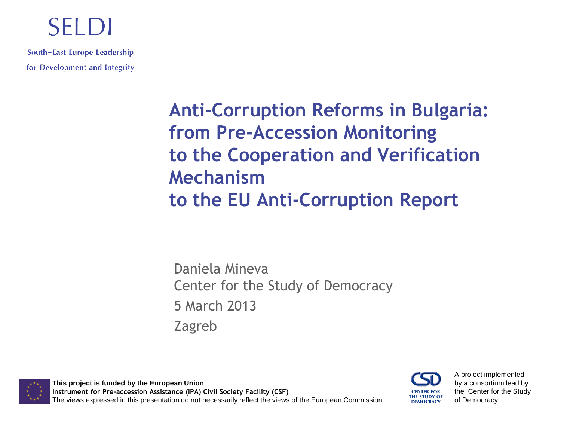#### SELDI

South-East Europe Leadership for Development and Integrity

> **Anti-Corruption Reforms in Bulgaria: from Pre-Accession Monitoring to the Cooperation and Verification Mechanism to the EU Anti-Corruption Report**

Daniela Mineva Center for the Study of Democracy 5 March 2013 Zagreb

**This project is funded by the European Union Instrument for Pre-accession Assistance (IPA) Civil Society Facility (CSF)** The views expressed in this presentation do not necessarily reflect the views of the European Commission THE STUDY OF **DEMOCRACY** 

A project implemented by a consortium lead by the Center for the Study of Democracy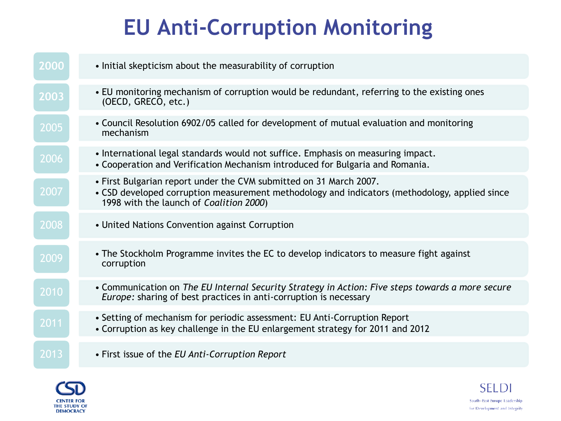# **EU Anti-Corruption Monitoring**

| 2000 | • Initial skepticism about the measurability of corruption                                                                                                                                                     |
|------|----------------------------------------------------------------------------------------------------------------------------------------------------------------------------------------------------------------|
| 2003 | • EU monitoring mechanism of corruption would be redundant, referring to the existing ones<br>(OECD, GRECO, etc.)                                                                                              |
| 2005 | • Council Resolution 6902/05 called for development of mutual evaluation and monitoring<br>mechanism                                                                                                           |
| 2006 | • International legal standards would not suffice. Emphasis on measuring impact.<br>• Cooperation and Verification Mechanism introduced for Bulgaria and Romania.                                              |
| 2007 | . First Bulgarian report under the CVM submitted on 31 March 2007.<br>• CSD developed corruption measurement methodology and indicators (methodology, applied since<br>1998 with the launch of Coalition 2000) |
| 2008 | • United Nations Convention against Corruption                                                                                                                                                                 |
| 2009 | • The Stockholm Programme invites the EC to develop indicators to measure fight against<br>corruption                                                                                                          |
| 2010 | • Communication on The EU Internal Security Strategy in Action: Five steps towards a more secure<br>Europe: sharing of best practices in anti-corruption is necessary                                          |
| 2011 | • Setting of mechanism for periodic assessment: EU Anti-Corruption Report<br>• Corruption as key challenge in the EU enlargement strategy for 2011 and 2012                                                    |
| 2013 | • First issue of the EU Anti-Corruption Report                                                                                                                                                                 |



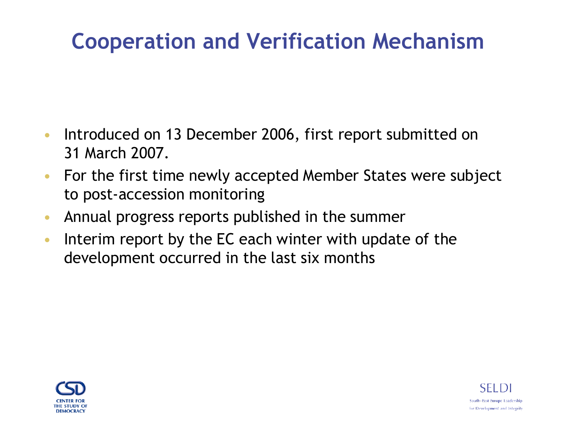- Introduced on 13 December 2006, first report submitted on 31 March 2007.
- For the first time newly accepted Member States were subject to post-accession monitoring
- Annual progress reports published in the summer
- Interim report by the EC each winter with update of the development occurred in the last six months



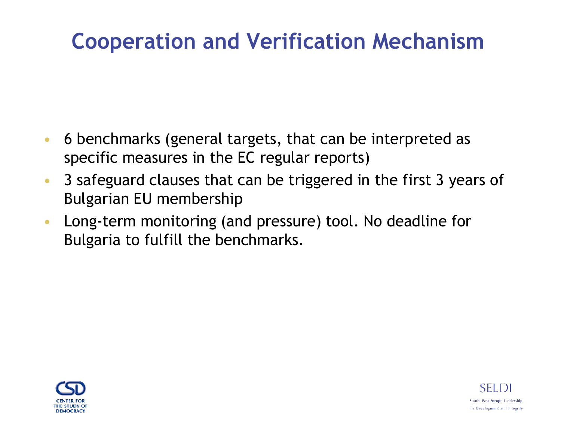- 6 benchmarks (general targets, that can be interpreted as specific measures in the EC regular reports)
- 3 safeguard clauses that can be triggered in the first 3 years of Bulgarian EU membership
- Long-term monitoring (and pressure) tool. No deadline for Bulgaria to fulfill the benchmarks.



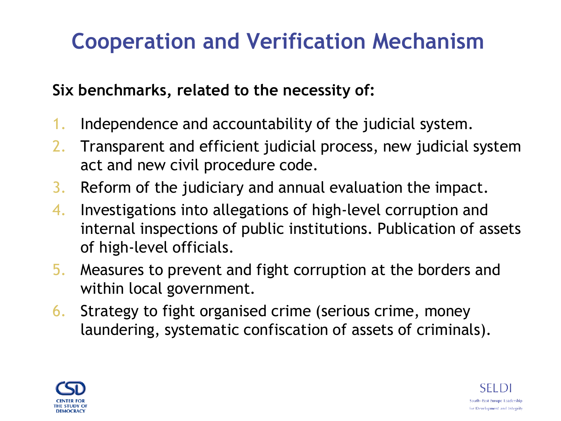#### **Six benchmarks, related to the necessity of:**

- 1. Independence and accountability of the judicial system.
- 2. Transparent and efficient judicial process, new judicial system act and new civil procedure code.
- 3. Reform of the judiciary and annual evaluation the impact.
- 4. Investigations into allegations of high-level corruption and internal inspections of public institutions. Publication of assets of high-level officials.
- 5. Measures to prevent and fight corruption at the borders and within local government.
- 6. Strategy to fight organised crime (serious crime, money laundering, systematic confiscation of assets of criminals).



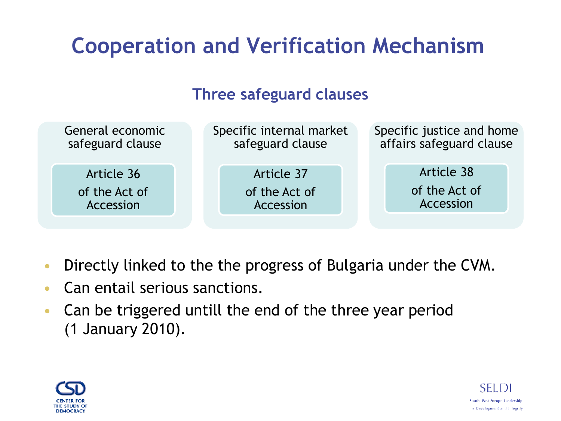#### **Three safeguard clauses**



- Directly linked to the the progress of Bulgaria under the CVM.
- Can entail serious sanctions.
- Can be triggered untill the end of the three year period (1 January 2010).



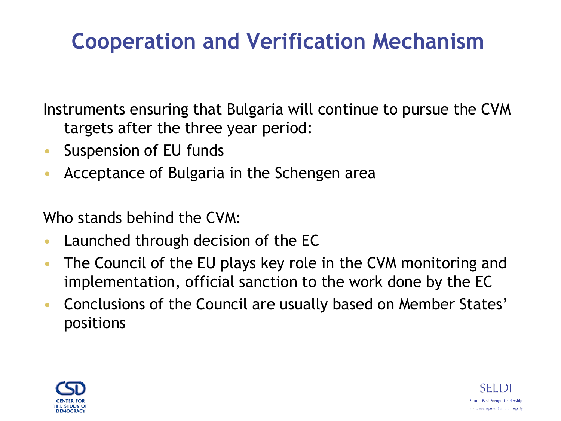Instruments ensuring that Bulgaria will continue to pursue the CVM targets after the three year period:

- Suspension of EU funds
- Acceptance of Bulgaria in the Schengen area

Who stands behind the CVM:

- Launched through decision of the EC
- The Council of the EU plays key role in the CVM monitoring and implementation, official sanction to the work done by the EC
- Conclusions of the Council are usually based on Member States' positions



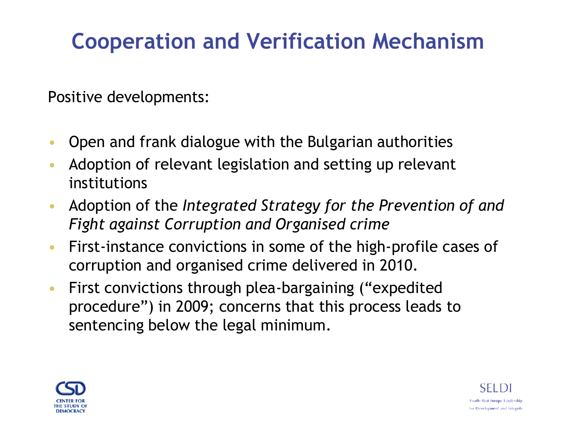Positive developments:

- Open and frank dialogue with the Bulgarian authorities
- Adoption of relevant legislation and setting up relevant institutions
- Adoption of the *Integrated Strategy for the Prevention of and Fight against Corruption and Organised crime*
- First-instance convictions in some of the high-profile cases of corruption and organised crime delivered in 2010.
- First convictions through plea-bargaining ("expedited procedure") in 2009; concerns that this process leads to sentencing below the legal minimum.



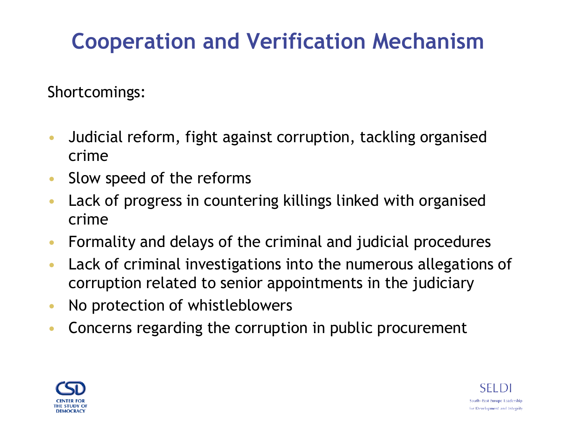Shortcomings:

- Judicial reform, fight against corruption, tackling organised crime
- Slow speed of the reforms
- Lack of progress in countering killings linked with organised crime
- Formality and delays of the criminal and judicial procedures
- Lack of criminal investigations into the numerous allegations of corruption related to senior appointments in the judiciary
- No protection of whistleblowers
- Concerns regarding the corruption in public procurement



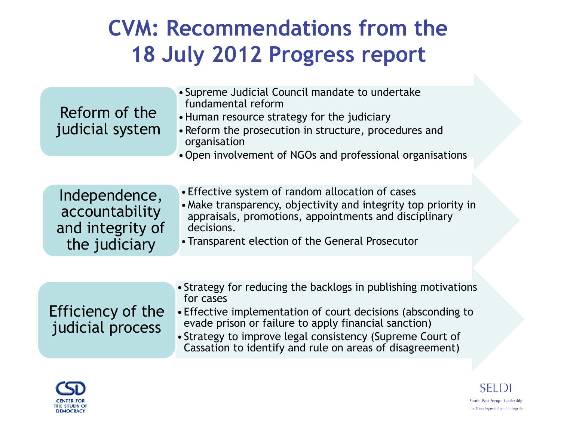#### **CVM: Recommendations from the 18 July 2012 Progress report**

| Reform of the<br>judicial system                                     | • Supreme Judicial Council mandate to undertake<br>fundamental reform<br>• Human resource strategy for the judiciary<br>• Reform the prosecution in structure, procedures and<br>organisation<br>• Open involvement of NGOs and professional organisations |
|----------------------------------------------------------------------|------------------------------------------------------------------------------------------------------------------------------------------------------------------------------------------------------------------------------------------------------------|
| Independence,<br>accountability<br>and integrity of<br>the judiciary | • Effective system of random allocation of cases<br>• Make transparency, objectivity and integrity top priority in<br>appraisals, promotions, appointments and disciplinary<br>decisions.<br>• Transparent election of the General Prosecutor              |

| Efficiency of the<br>judicial process | • Strategy for reducing the backlogs in publishing motivations<br>for cases<br>• Effective implementation of court decisions (absconding to<br>evade prison or failure to apply financial sanction)<br>• Strategy to improve legal consistency (Supreme Court of<br>Cassation to identify and rule on areas of disagreement) |
|---------------------------------------|------------------------------------------------------------------------------------------------------------------------------------------------------------------------------------------------------------------------------------------------------------------------------------------------------------------------------|
|                                       |                                                                                                                                                                                                                                                                                                                              |



**SELD** South-East Europe Leadership for Development and Integrity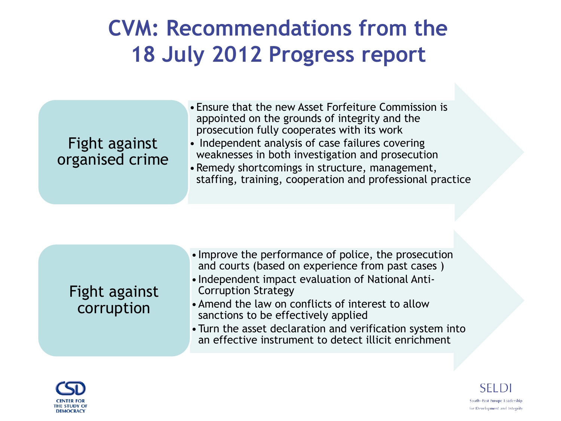#### **CVM: Recommendations from the 18 July 2012 Progress report**

#### Fight against organised crime

- •Ensure that the new Asset Forfeiture Commission is appointed on the grounds of integrity and the prosecution fully cooperates with its work
- Independent analysis of case failures covering weaknesses in both investigation and prosecution
- •Remedy shortcomings in structure, management, staffing, training, cooperation and professional practice

| Fight against<br>corruption | • Improve the performance of police, the prosecution<br>and courts (based on experience from past cases)<br>• Independent impact evaluation of National Anti-<br><b>Corruption Strategy</b><br>• Amend the law on conflicts of interest to allow<br>sanctions to be effectively applied<br>• Turn the asset declaration and verification system into<br>an effective instrument to detect illicit enrichment |
|-----------------------------|--------------------------------------------------------------------------------------------------------------------------------------------------------------------------------------------------------------------------------------------------------------------------------------------------------------------------------------------------------------------------------------------------------------|
|-----------------------------|--------------------------------------------------------------------------------------------------------------------------------------------------------------------------------------------------------------------------------------------------------------------------------------------------------------------------------------------------------------------------------------------------------------|



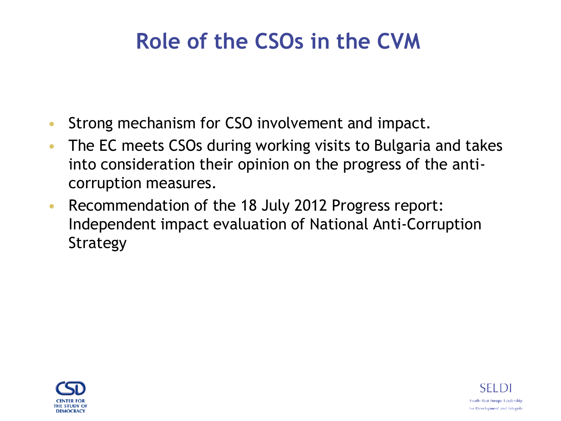#### **Role of the CSOs in the CVM**

- Strong mechanism for CSO involvement and impact.
- The EC meets CSOs during working visits to Bulgaria and takes into consideration their opinion on the progress of the anticorruption measures.
- Recommendation of the 18 July 2012 Progress report: Independent impact evaluation of National Anti-Corruption Strategy